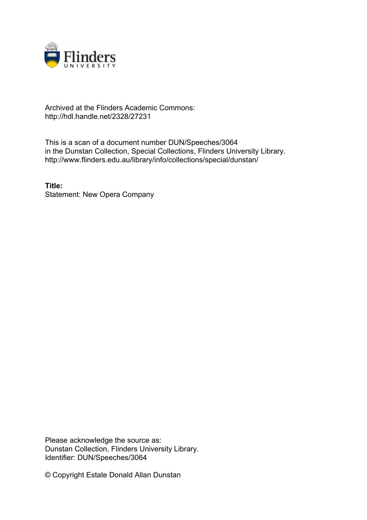

## Archived at the Flinders Academic Commons: http://hdl.handle.net/2328/27231

This is a scan of a document number DUN/Speeches/3064 in the Dunstan Collection, Special Collections, Flinders University Library. http://www.flinders.edu.au/library/info/collections/special/dunstan/

**Title:** Statement: New Opera Company

Please acknowledge the source as: Dunstan Collection, Flinders University Library. Identifier: DUN/Speeches/3064

© Copyright Estate Donald Allan Dunstan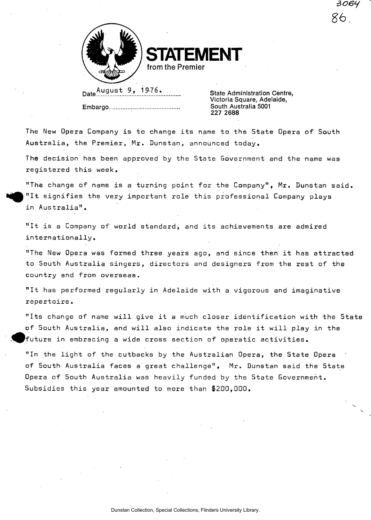

**STATEMENT from the Premier** 

Date August 9, 1976. Embargo

State Administration Centre, Victoria Square, Adelaide, South Australia 5001 227 2688

*aotsy* 

%

*8b.* 

The New Opera Company is to change its name to the State Opera of South Australia, the Premier, Mr. Dunstan, announced today

The decision has been approved by the State Government and the name was registered this week.

"The change of name is a turning point for the Company", Mr. Dunstan said. in Australia". "It signifies the very important role this professional Company plays

"It is a Company of world standard, and its achievements are admired internationally.

"The New Opera was formed three years ago, and since then it has attracted to South Australia singers, directors and designers from the rest of the country and from overseas.

"It has performed regularly in Adelaide with a vigorous and imaginative repertoire.

"Its change of name will give it a much closer identification with the State of 5outh Australia, and will also indicate the role it will play in the future in embracing a wide cross section of operatic activities.

"In the light of the cutbacks by the Australian Opera, the State Opera of South- Australia faces a great challenge", Mr. Dunstan said the State Opera of South Australia was heavily funded by the State Government. Subsidies this year amounted to more than \$200,000.